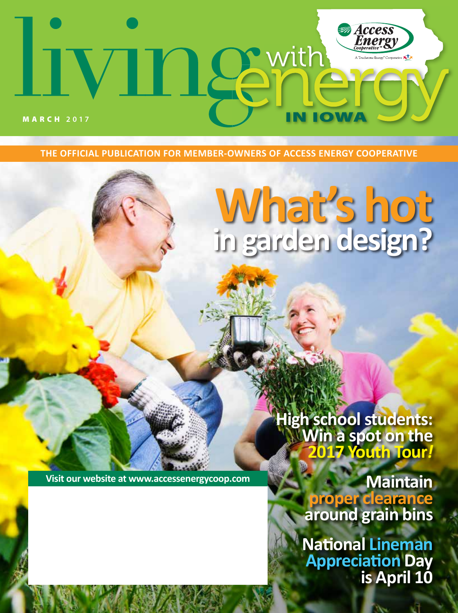# **Access next** MARCH **2017**

**THE OFFICIAL PUBLICATION FOR MEMBER-OWNERS OF ACCESS ENERGY COOPERATIVE**

# **What's hot in garden design?**

**Win a spot on the 2017 Youth Tour***!*

**Visit our website at www.accessenergycoop.com**

**Maintain proper clearance around grain bins**

**High school students:** 

**National Lineman Appreciation Day is April 10**

January 2017 **LIVING WITH ENERGY** IN IOWA **1**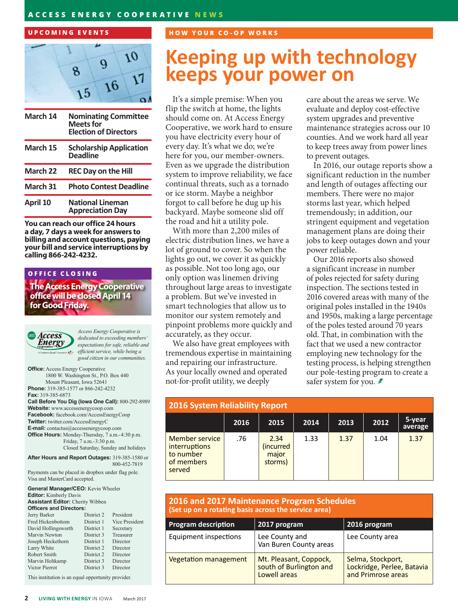#### **ACCESS ENERGY COOPERATIVE NEWS**

#### **UPCOMING EVENTS**



| March 14 | <b>Nominating Committee</b><br><b>Meets for</b><br><b>Election of Directors</b> |
|----------|---------------------------------------------------------------------------------|
| March 15 | <b>Scholarship Application</b><br><b>Deadline</b>                               |
| March 22 | <b>REC Day on the Hill</b>                                                      |
| March 31 | <b>Photo Contest Deadline</b>                                                   |
| April 10 | <b>National Lineman</b><br><b>Appreciation Day</b>                              |

**You can reach our office 24 hours a day, 7 days a week for answers to billing and account questions, paying your bill and service interruptions by calling 866-242-4232.**

#### **OFFICE CLOSING**

**The Access Energy Cooperative office will be closed April 14 for Good Friday.** 



*Access Energy Cooperative is dedicated to exceeding members' expectations for safe, reliable and efficient service, while being a good citizen in our communities.*

**Office:** Access Energy Cooperative 1800 W. Washington St., P.O. Box 440 Mount Pleasant, Iowa 52641 **Phone:** 319-385-1577 or 866-242-4232 **Fax:** 319-385-6873 **Call Before You Dig (Iowa One Call):** 800-292-8989 **Website:** www.accessenergycoop.com **Facebook:** facebook.com/AccessEnergyCoop **Twitter:** twitter.com/AccessEnergyC **E-mail:** contactus@accessenergycoop.com **Office Hours:** Monday-Thursday, 7 a.m.-4:30 p.m. Friday, 7 a.m.-3:30 p.m. Closed Saturday, Sunday and holidays **After Hours and Report Outages:** 319-385-1580 or

 800-452-7819 Payments can be placed in dropbox under flag pole. Visa and MasterCard accepted.

| <b>General Manager/CEO:</b> Kevin Wheeler<br><b>Editor:</b> Kimberly Davis |            |                |  |  |  |  |  |
|----------------------------------------------------------------------------|------------|----------------|--|--|--|--|--|
| <b>Assistant Editor:</b> Cherity Wibben<br><b>Officers and Directors:</b>  |            |                |  |  |  |  |  |
|                                                                            |            |                |  |  |  |  |  |
| Fred Hickenbottom                                                          | District 1 | Vice President |  |  |  |  |  |
| David Hollingsworth                                                        | District 1 | Secretary      |  |  |  |  |  |
| Marvin Newton                                                              | District 3 | Treasurer      |  |  |  |  |  |
| Joseph Heckethorn                                                          | District 1 | Director       |  |  |  |  |  |
| Larry White                                                                | District 2 | Director       |  |  |  |  |  |
| Robert Smith                                                               | District 2 | Director       |  |  |  |  |  |
| Marvin Holtkamp                                                            | District 3 | Director       |  |  |  |  |  |
| Victor Pierrot                                                             | District 3 | Director       |  |  |  |  |  |
| the state of the state of the state of the<br>$-1$                         |            |                |  |  |  |  |  |

This institution is an equal opportunity provider.

#### **HOW YOUR CO-OP WORKS**

## **Keeping up with technology keeps your power on**

It's a simple premise: When you flip the switch at home, the lights should come on. At Access Energy Cooperative, we work hard to ensure you have electricity every hour of every day. It's what we do; we're here for you, our member-owners. Even as we upgrade the distribution system to improve reliability, we face continual threats, such as a tornado or ice storm. Maybe a neighbor forgot to call before he dug up his backyard. Maybe someone slid off the road and hit a utility pole.

With more than 2,200 miles of electric distribution lines, we have a lot of ground to cover. So when the lights go out, we cover it as quickly as possible. Not too long ago, our only option was linemen driving throughout large areas to investigate a problem. But we've invested in smart technologies that allow us to monitor our system remotely and pinpoint problems more quickly and accurately, as they occur.

We also have great employees with tremendous expertise in maintaining and repairing our infrastructure. As your locally owned and operated not-for-profit utility, we deeply

care about the areas we serve. We evaluate and deploy cost-effective system upgrades and preventive maintenance strategies across our 10 counties. And we work hard all year to keep trees away from power lines to prevent outages.

In 2016, our outage reports show a significant reduction in the number and length of outages affecting our members. There were no major storms last year, which helped tremendously; in addition, our stringent equipment and vegetation management plans are doing their jobs to keep outages down and your power reliable.

Our 2016 reports also showed a significant increase in number of poles rejected for safety during inspection. The sections tested in 2016 covered areas with many of the original poles installed in the 1940s and 1950s, making a large percentage of the poles tested around 70 years old. That, in combination with the fact that we used a new contractor employing new technology for the testing process, is helping strengthen our pole-testing program to create a safer system for you. *₹* 

| <b>2016 System Reliability Report</b>                                |      |                                       |      |      |      |                   |  |
|----------------------------------------------------------------------|------|---------------------------------------|------|------|------|-------------------|--|
|                                                                      | 2016 | 2015                                  | 2014 | 2013 | 2012 | 5-year<br>average |  |
| Member service<br>interruptions<br>to number<br>of members<br>served | .76  | 2.34<br>(incurred<br>major<br>storms) | 1.33 | 1.37 | 1.04 | 1.37              |  |

#### **2016 and 2017 Maintenance Program Schedules (Set up on a rotating basis across the service area)**

| <b>Program description</b>   | 2017 program                                                      | 2016 program                                                          |
|------------------------------|-------------------------------------------------------------------|-----------------------------------------------------------------------|
| Equipment inspections        | Lee County and<br>Van Buren County areas                          | Lee County area                                                       |
| <b>Vegetation management</b> | Mt. Pleasant, Coppock,<br>south of Burlington and<br>Lowell areas | Selma, Stockport,<br>Lockridge, Perlee, Batavia<br>and Primrose areas |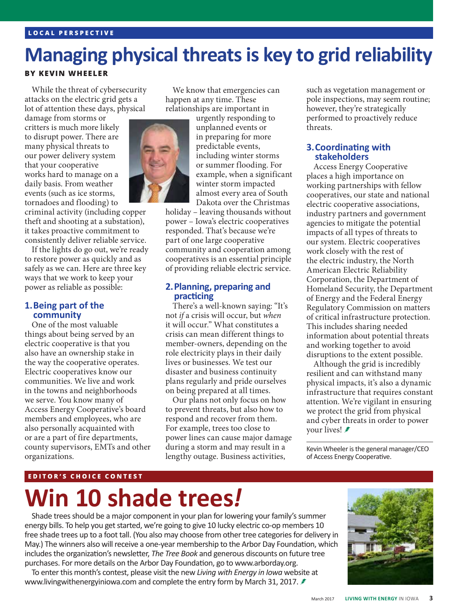#### **LOCAL PERSPECTIVE**

# **Managing physical threats is key to grid reliability**

#### **BY KEVIN WHEELER**

While the threat of cybersecurity attacks on the electric grid gets a lot of attention these days, physical

damage from storms or critters is much more likely to disrupt power. There are many physical threats to our power delivery system that your cooperative works hard to manage on a daily basis. From weather events (such as ice storms, tornadoes and flooding) to

criminal activity (including copper theft and shooting at a substation), it takes proactive commitment to consistently deliver reliable service.

If the lights do go out, we're ready to restore power as quickly and as safely as we can. Here are three key ways that we work to keep your power as reliable as possible:

## **1.Being part of the community**

One of the most valuable things about being served by an electric cooperative is that you also have an ownership stake in the way the cooperative operates. Electric cooperatives know our communities. We live and work in the towns and neighborhoods we serve. You know many of Access Energy Cooperative's board members and employees, who are also personally acquainted with or are a part of fire departments, county supervisors, EMTs and other organizations.

We know that emergencies can happen at any time. These relationships are important in



urgently responding to unplanned events or in preparing for more predictable events, including winter storms or summer flooding. For example, when a significant winter storm impacted almost every area of South Dakota over the Christmas

holiday – leaving thousands without power – Iowa's electric cooperatives responded. That's because we're part of one large cooperative community and cooperation among cooperatives is an essential principle of providing reliable electric service.

#### **2.Planning, preparing and practicing**

There's a well-known saying: "It's not *if* a crisis will occur, but *when* it will occur." What constitutes a crisis can mean different things to member-owners, depending on the role electricity plays in their daily lives or businesses. We test our disaster and business continuity plans regularly and pride ourselves on being prepared at all times.

Our plans not only focus on how to prevent threats, but also how to respond and recover from them. For example, trees too close to power lines can cause major damage during a storm and may result in a lengthy outage. Business activities,

such as vegetation management or pole inspections, may seem routine; however, they're strategically performed to proactively reduce threats.

#### **3.Coordinating with stakeholders**

Access Energy Cooperative places a high importance on working partnerships with fellow cooperatives, our state and national electric cooperative associations, industry partners and government agencies to mitigate the potential impacts of all types of threats to our system. Electric cooperatives work closely with the rest of the electric industry, the North American Electric Reliability Corporation, the Department of Homeland Security, the Department of Energy and the Federal Energy Regulatory Commission on matters of critical infrastructure protection. This includes sharing needed information about potential threats and working together to avoid disruptions to the extent possible.

Although the grid is incredibly resilient and can withstand many physical impacts, it's also a dynamic infrastructure that requires constant attention. We're vigilant in ensuring we protect the grid from physical and cyber threats in order to power your lives!

Kevin Wheeler is the general manager/CEO of Access Energy Cooperative.

#### **EDITOR'S CHOICE CONTEST**

# **Win 10 shade trees***!*

Shade trees should be a major component in your plan for lowering your family's summer energy bills. To help you get started, we're going to give 10 lucky electric co-op members 10 free shade trees up to a foot tall. (You also may choose from other tree categories for delivery in May.) The winners also will receive a one-year membership to the Arbor Day Foundation, which includes the organization's newsletter, *The Tree Book* and generous discounts on future tree purchases. For more details on the Arbor Day Foundation, go to www.arborday.org.

To enter this month's contest, please visit the new *Living with Energy in Iowa* website at www.livingwithenergyiniowa.com and complete the entry form by March 31, 2017. ≢

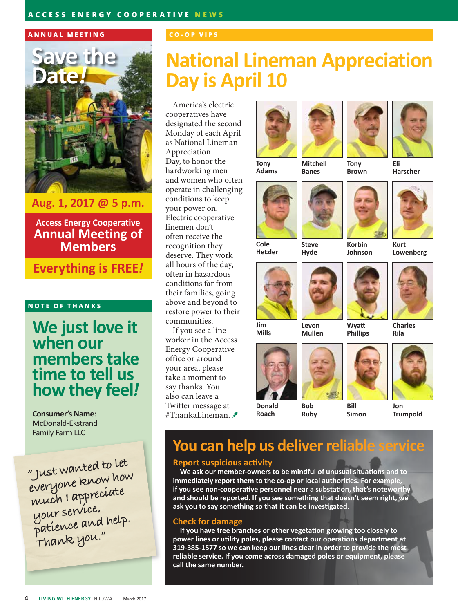#### **ACCESS ENERGY COOPERATIVE NEWS**

#### **ANNUAL MEETING**



**Aug. 1, 2017 @ 5 p.m.**

**Access Energy Cooperative Annual Meeting of Members**

**Everything is FREE***!*

#### **NOTE OF THANKS**

### **We just love it when our members take time to tell us how they feel***!*

**Consumer's Name**: McDonald-Ekstrand Family Farm LLC

**" Just wanted to let everyone know how much I appreciate your service, patience and help. Thank you."**

#### **CO-OP VIPS**

# **National Lineman Appreciation Day is April 10**

America's electric cooperatives have designated the second Monday of each April as National Lineman Appreciation Day, to honor the hardworking men and women who often operate in challenging conditions to keep your power on. Electric cooperative linemen don't often receive the recognition they deserve. They work all hours of the day, often in hazardous conditions far from their families, going above and beyond to restore power to their communities.

If you see a line worker in the Access Energy Cooperative office or around your area, please take a moment to say thanks. You also can leave a Twitter message at #ThankaLineman. <del>≢</del>









**Tony Adams**

**Tony Brown**

**Eli Harscher**



**Hetzler**





**Levon Mullen**

**Mitchell Banes**









**Kurt Lowenberg**



**Charles** 

**Mills**





**Wyatt Phillips**



**Donald Roach**

**Bob Ruby**

**Bill Simon**

**Trumpold**

### **You can help us deliver reliable service**

#### **Report suspicious activity**

**We ask our member-owners to be mindful of unusual situations and to immediately report them to the co-op or local authorities. For example, if you see non-cooperative personnel near a substation, that's noteworth and should be reported. If you see something that doesn't seem right, we ask you to say something so that it can be investigated.**

#### **Check for damage**

**If you have tree branches or other vegetation growing too closely to power lines or utility poles, please contact our operations department at 319-385-1577 so we can keep our lines clear in order to provide the most reliable service. If you come across damaged poles or equipment, please call the same number.**